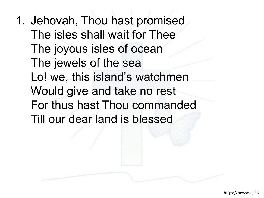1. Jehovah, Thou hast promised The isles shall wait for Thee The joyous isles of ocean The jewels of the sea Lo! we, this island's watchmen Would give and take no rest For thus hast Thou commanded Till our dear land is blessed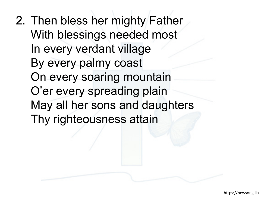2. Then bless her mighty Father With blessings needed most In every verdant village By every palmy coast On every soaring mountain O'er every spreading plain May all her sons and daughters Thy righteousness attain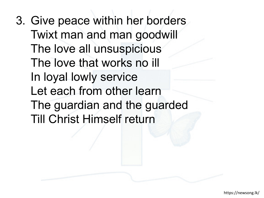3. Give peace within her borders Twixt man and man goodwill The love all unsuspicious The love that works no ill In loyal lowly service Let each from other learn The guardian and the guarded Till Christ Himself return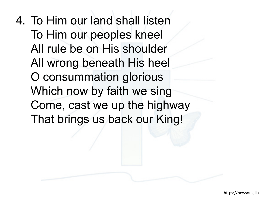4. To Him our land shall listen To Him our peoples kneel All rule be on His shoulder All wrong beneath His heel O consummation glorious Which now by faith we sing Come, cast we up the highway That brings us back our King!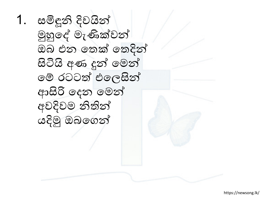1. සමිඳූනි දිවයින් මුහුෙද් මැණික්වන් ඔබ එන ෙතක් ෙතදින් සිටියි අණ දුන් ෙමන් ෙම් රටටත් එෙලසින් ආසිරි ෙදන ෙමන් අවදිවම නිතින් යදිමු ඔබෙගන්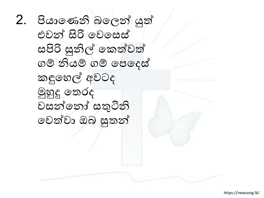2. පියාෙණනි බෙලන් යුත් එවන් සිරි ෙවෙසස් සපිරි සුනිල් ෙකත්වත් ගම් නියම් ගම් ෙපෙදස් කඳුෙහල් අවටද මුහුදු ෙතරද වසන්ෙනෝ සතුටිනි ෙවත්වා ඔබ සුතන්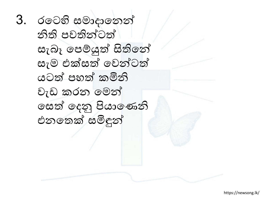3. රටෙහි සමාදානෙන් නිති පවතින්ටත් සැබෑ ෙපම්යුත් සිතිෙන් සැම එක්සත් ෙවන්ටත් යටත් පහත් කමිනි වැඩ කරන ෙමන් ෙසත් ෙදනු පියාෙණනි එනෙතක් සමිඳුන්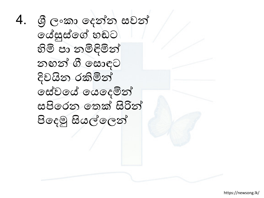4. � ලංකා ෙදන්න සවන් ෙය්සුස්ෙග් හඬට හිමි පා නමිඳිමින් නඟන් ගී ෙසොඳට දිවයින රකිමින් ෙසේවෙය් ෙයෙදමින් සපිෙරන ෙතක් සිරින් පිෙදමු සියල්ෙලන්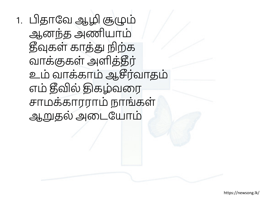1. பிதாவே ஆழி சூழும் ஆனந்த அணியாம் தீவுகள் காத்து நிற்க வாக்குகள் அளித்தீர் உம் வாக்காம் ஆசீர்வாதம் எம் தீவில் திகழ்வரை சாமக்காரராம் நாங்கள் ஆறுதல் அடையோம்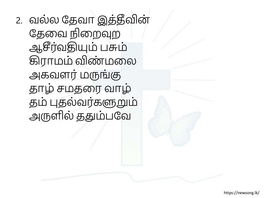2. வல்ல தேவா இத்தீவின் தேவை நிறைவுற ஆசீர்வதியும் பசும் கிராமம் விண்மலை அகவளர் மருங்கு தாழ் சமதரை வாழ் தம் புதல்வர்களுறும் அருளில் ததும்பவே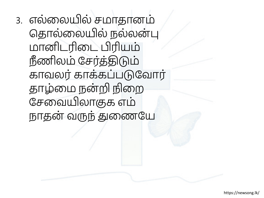3. எல்லையில் சமாதானம் தொல்லையில் நல்லன்பு மானிடரிடை பிரியம் நீணிலம் சேர்த்திடும் காவலர் காக்கப்படுவோர் தாழ்மை நன்றி நிறை சேவையிலாகுக எம் நாதன் வருந் துணையே